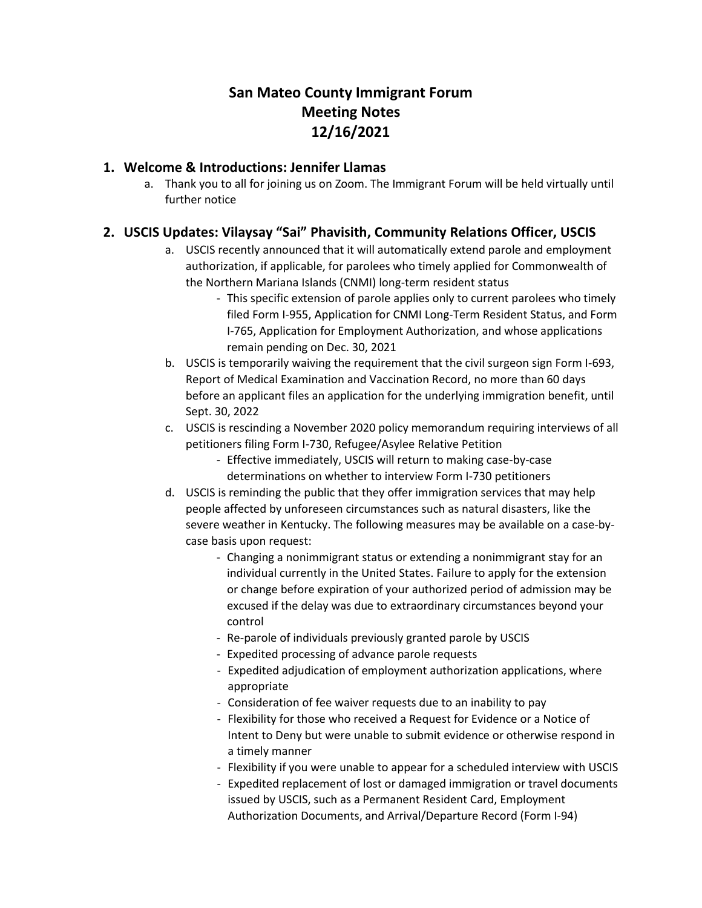# **San Mateo County Immigrant Forum Meeting Notes 12/16/2021**

#### **1. Welcome & Introductions: Jennifer Llamas**

a. Thank you to all for joining us on Zoom. The Immigrant Forum will be held virtually until further notice

## **2. USCIS Updates: Vilaysay "Sai" Phavisith, Community Relations Officer, USCIS**

- a. USCIS recently announced that it will automatically extend parole and employment authorization, if applicable, for parolees who timely applied for Commonwealth of the Northern Mariana Islands (CNMI) long-term resident status
	- This specific extension of parole applies only to current parolees who timely filed Form I-955, Application for CNMI Long-Term Resident Status, and Form I-765, Application for Employment Authorization, and whose applications remain pending on Dec. 30, 2021
- b. USCIS is temporarily waiving the requirement that the civil surgeon sign Form I-693, Report of Medical Examination and Vaccination Record, no more than 60 days before an applicant files an application for the underlying immigration benefit, until Sept. 30, 2022
- c. USCIS is rescinding a November 2020 policy memorandum requiring interviews of all petitioners filing Form I-730, Refugee/Asylee Relative Petition
	- Effective immediately, USCIS will return to making case-by-case determinations on whether to interview Form I-730 petitioners
- d. USCIS is reminding the public that they offer immigration services that may help people affected by unforeseen circumstances such as natural disasters, like the severe weather in Kentucky. The following measures may be available on a case-bycase basis upon request:
	- Changing a nonimmigrant status or extending a nonimmigrant stay for an individual currently in the United States. Failure to apply for the extension or change before expiration of your authorized period of admission may be excused if the delay was due to extraordinary circumstances beyond your control
	- Re-parole of individuals previously granted parole by USCIS
	- Expedited processing of advance parole requests
	- Expedited adjudication of employment authorization applications, where appropriate
	- Consideration of fee waiver requests due to an inability to pay
	- Flexibility for those who received a Request for Evidence or a Notice of Intent to Deny but were unable to submit evidence or otherwise respond in a timely manner
	- Flexibility if you were unable to appear for a scheduled interview with USCIS
	- Expedited replacement of lost or damaged immigration or travel documents issued by USCIS, such as a Permanent Resident Card, Employment Authorization Documents, and Arrival/Departure Record (Form I-94)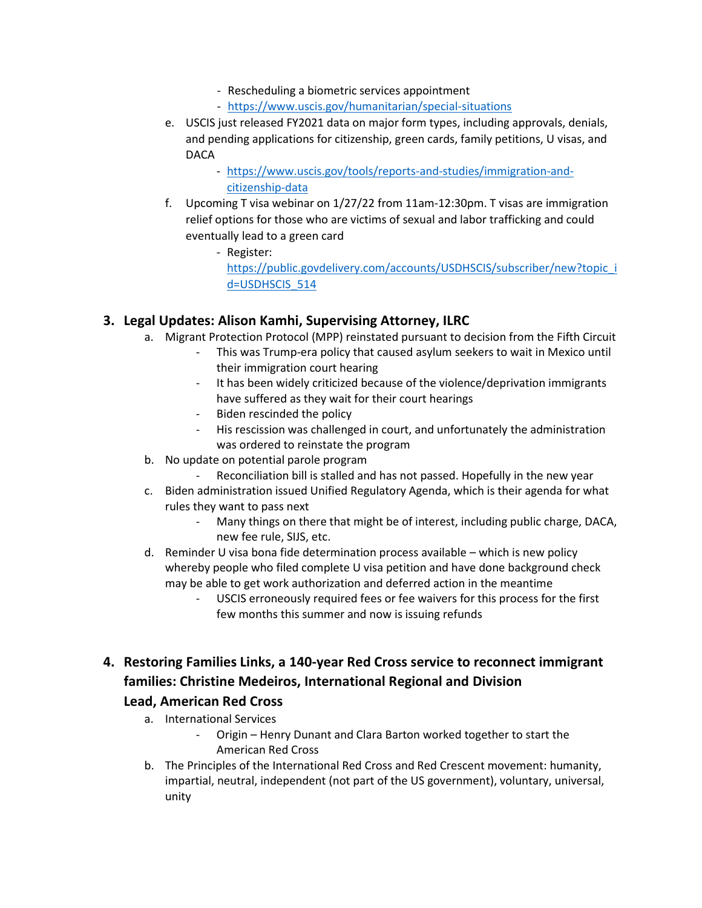- Rescheduling a biometric services appointment
- [https://www.uscis.gov/humanitarian/special-situations](https://protect-us.mimecast.com/s/-elpCJ6KNDcrLwwETVfgFu)
- e. USCIS just released FY2021 data on major form types, including approvals, denials, and pending applications for citizenship, green cards, family petitions, U visas, and DACA
	- [https://www.uscis.gov/tools/reports-and-studies/immigration-and](https://www.uscis.gov/tools/reports-and-studies/immigration-and-citizenship-data)[citizenship-data](https://www.uscis.gov/tools/reports-and-studies/immigration-and-citizenship-data)
- f. Upcoming T visa webinar on 1/27/22 from 11am-12:30pm. T visas are immigration relief options for those who are victims of sexual and labor trafficking and could eventually lead to a green card
	- Register: [https://public.govdelivery.com/accounts/USDHSCIS/subscriber/new?topic\\_i](https://public.govdelivery.com/accounts/USDHSCIS/subscriber/new?topic_id=USDHSCIS_514) [d=USDHSCIS\\_514](https://public.govdelivery.com/accounts/USDHSCIS/subscriber/new?topic_id=USDHSCIS_514)

#### **3. Legal Updates: Alison Kamhi, Supervising Attorney, ILRC**

- a. Migrant Protection Protocol (MPP) reinstated pursuant to decision from the Fifth Circuit
	- This was Trump-era policy that caused asylum seekers to wait in Mexico until their immigration court hearing
	- It has been widely criticized because of the violence/deprivation immigrants have suffered as they wait for their court hearings
	- Biden rescinded the policy
	- His rescission was challenged in court, and unfortunately the administration was ordered to reinstate the program
- b. No update on potential parole program
	- Reconciliation bill is stalled and has not passed. Hopefully in the new year
- c. Biden administration issued Unified Regulatory Agenda, which is their agenda for what rules they want to pass next
	- Many things on there that might be of interest, including public charge, DACA, new fee rule, SIJS, etc.
- d. Reminder U visa bona fide determination process available which is new policy whereby people who filed complete U visa petition and have done background check may be able to get work authorization and deferred action in the meantime
	- USCIS erroneously required fees or fee waivers for this process for the first few months this summer and now is issuing refunds
- **4. Restoring Families Links, a 140-year Red Cross service to reconnect immigrant families: Christine Medeiros, International Regional and Division**

### **Lead, American Red Cross**

- a. International Services
	- Origin Henry Dunant and Clara Barton worked together to start the American Red Cross
- b. The Principles of the International Red Cross and Red Crescent movement: humanity, impartial, neutral, independent (not part of the US government), voluntary, universal, unity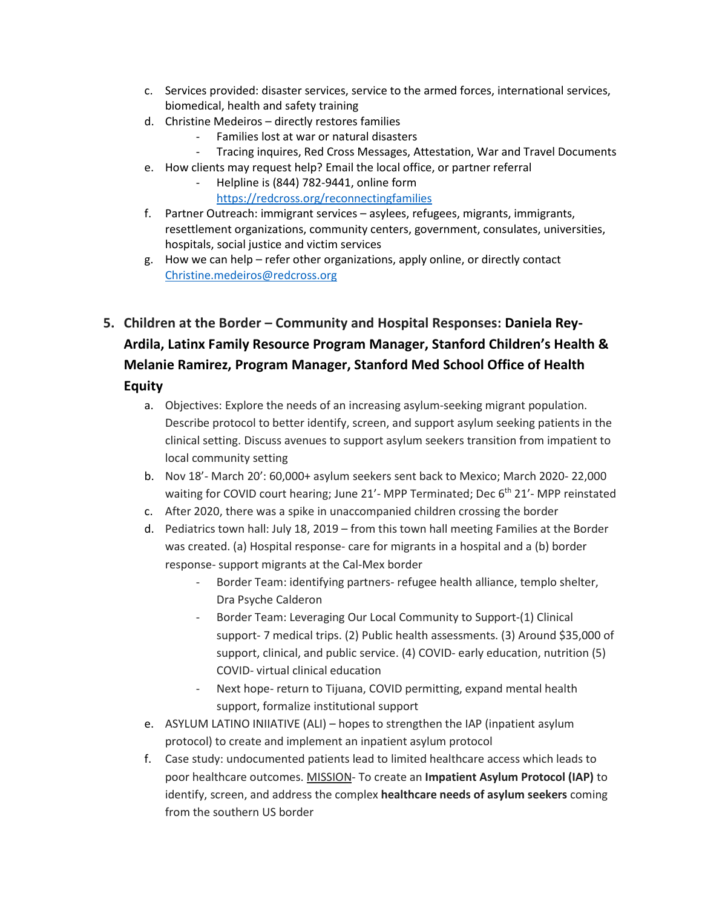- c. Services provided: disaster services, service to the armed forces, international services, biomedical, health and safety training
- d. Christine Medeiros directly restores families
	- Families lost at war or natural disasters
	- Tracing inquires, Red Cross Messages, Attestation, War and Travel Documents
- e. How clients may request help? Email the local office, or partner referral
	- Helpline is (844) 782-9441, online form
		- <https://redcross.org/reconnectingfamilies>
- f. Partner Outreach: immigrant services asylees, refugees, migrants, immigrants, resettlement organizations, community centers, government, consulates, universities, hospitals, social justice and victim services
- g. How we can help refer other organizations, apply online, or directly contact [Christine.medeiros@redcross.org](mailto:Christine.medeiros@redcross.org)
- **5. Children at the Border – Community and Hospital Responses: Daniela Rey-Ardila, Latinx Family Resource Program Manager, Stanford Children's Health & Melanie Ramirez, Program Manager, Stanford Med School Office of Health Equity**
	- a. Objectives: Explore the needs of an increasing asylum-seeking migrant population. Describe protocol to better identify, screen, and support asylum seeking patients in the clinical setting. Discuss avenues to support asylum seekers transition from impatient to local community setting
	- b. Nov 18'- March 20': 60,000+ asylum seekers sent back to Mexico; March 2020- 22,000 waiting for COVID court hearing; June 21'- MPP Terminated; Dec 6<sup>th</sup> 21'- MPP reinstated
	- c. After 2020, there was a spike in unaccompanied children crossing the border
	- d. Pediatrics town hall: July 18, 2019 from this town hall meeting Families at the Border was created. (a) Hospital response- care for migrants in a hospital and a (b) border response- support migrants at the Cal-Mex border
		- Border Team: identifying partners- refugee health alliance, templo shelter, Dra Psyche Calderon
		- Border Team: Leveraging Our Local Community to Support-(1) Clinical support- 7 medical trips. (2) Public health assessments. (3) Around \$35,000 of support, clinical, and public service. (4) COVID- early education, nutrition (5) COVID- virtual clinical education
		- Next hope- return to Tijuana, COVID permitting, expand mental health support, formalize institutional support
	- e. ASYLUM LATINO INIIATIVE (ALI) hopes to strengthen the IAP (inpatient asylum protocol) to create and implement an inpatient asylum protocol
	- f. Case study: undocumented patients lead to limited healthcare access which leads to poor healthcare outcomes. MISSION- To create an **Impatient Asylum Protocol (IAP)** to identify, screen, and address the complex **healthcare needs of asylum seekers** coming from the southern US border